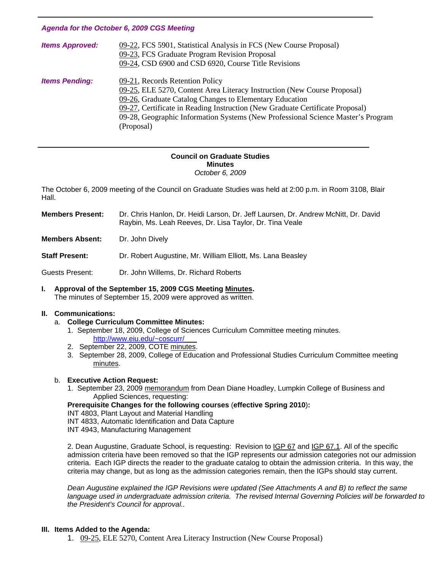#### *Agenda for the October 6, 2009 CGS Meeting*

| <b>Items Approved:</b> | 09-22, FCS 5901, Statistical Analysis in FCS (New Course Proposal)<br>09-23, FCS Graduate Program Revision Proposal<br>09-24, CSD 6900 and CSD 6920, Course Title Revisions                                                                                                                                                                               |
|------------------------|-----------------------------------------------------------------------------------------------------------------------------------------------------------------------------------------------------------------------------------------------------------------------------------------------------------------------------------------------------------|
| <b>Items Pending:</b>  | 09-21, Records Retention Policy<br>09-25, ELE 5270, Content Area Literacy Instruction (New Course Proposal)<br>09-26, Graduate Catalog Changes to Elementary Education<br>09-27, Certificate in Reading Instruction (New Graduate Certificate Proposal)<br>09-28, Geographic Information Systems (New Professional Science Master's Program<br>(Proposal) |

#### **Council on Graduate Studies Minutes**  *October 6, 2009*

The October 6, 2009 meeting of the Council on Graduate Studies was held at 2:00 p.m. in Room 3108, Blair Hall.

| Members Present:       | Dr. Chris Hanlon, Dr. Heidi Larson, Dr. Jeff Laursen, Dr. Andrew McNitt, Dr. David<br>Raybin, Ms. Leah Reeves, Dr. Lisa Taylor, Dr. Tina Veale |
|------------------------|------------------------------------------------------------------------------------------------------------------------------------------------|
| <b>Members Absent:</b> | Dr. John Dively                                                                                                                                |

**Staff Present:** Dr. Robert Augustine, Mr. William Elliott, Ms. Lana Beasley

Guests Present: Dr. John Willems, Dr. Richard Roberts

**I. Approval of the September 15, 2009 CGS Meetin[g Minutes.](http://www.eiu.edu/~eiucgs/currentminutes/Minutes9-15-09.pdf)**  The minutes of September 15, 2009 were approved as written.

#### **II. Communications:**

l

- a. **College Curriculum Committee Minutes:**
	- 1. September 18, 2009, College of Sciences Curriculum Committee meeting minutes. <http://www.eiu.edu/~coscurr/>
	- 2. September 22, 2009, COTE [minutes.](http://www.eiu.edu/~eiucgs/currentagendaitems/COTEmin9-22-09.pdf)
	- 3. September 28, 2009, College of Education and Professional Studies Curriculum Committee meeting [minutes.](http://www.eiu.edu/~eiucgs/currentagendaitems/CEPSMin9-28-09.pdf)

#### b. **Executive Action Request:**

 1. September 23, 2[009 memorandum from](http://www.eiu.edu/~eiucgs/currentagendaitems/LCBAS-9-23-09ExecAct.pdf) Dean Diane Hoadley, Lumpkin College of Business and Applied Sciences, requesting:

### **Prerequisite Changes for the following courses** (**effective Spring 2010**)**:**

INT 4803, Plant Layout and Material Handling

INT 4833, Automatic Identification and Data Capture

INT 4943, Manufacturing Management

2. Dean Augustine, Graduate School, is requesting: Revision to IGP 67 and IGP 67.1. All of the specific admission criteria have been removed so that the IGP represents our admission categories not our admission criteria. Each IGP directs the reader to the graduate catalog to obtain the admission criteria. In this way, the criteria may change, but as long as the admission categories remain, then the IGPs should stay current.

*Dean Augustine explained the IGP Revisions were updated (See Attachments A and B) to reflect the same language used in undergraduate admission criteria. The revised Internal Governing Policies will be forwarded to the President's Council for approval..* 

#### **III. Items Added to the Agenda:**

1. [09-25, ELE](http://www.eiu.edu/~eiucgs/currentagendaitems/agenda09-25.pdf) 5270, Content Area Literacy Instruction (New Course Proposal)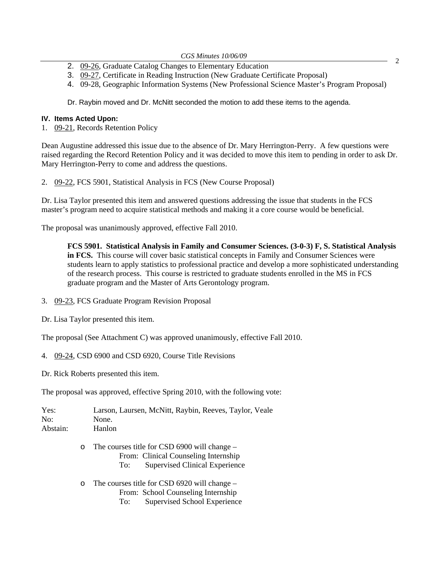- *CGS Minutes 10/06/09* 2. [09-26, G](http://www.eiu.edu/~eiucgs/currentagendaitems/agenda09-26.pdf)raduate Catalog Changes to Elementary Education 2
- 3. [09-27, C](http://www.eiu.edu/~eiucgs/currentagendaitems/agenda09-27.pdf)ertificate in Reading Instruction (New Graduate Certificate Proposal)
- 4. 09-28, Geographic Information Systems (New Professional Science Master's Program Proposal)

Dr. Raybin moved and Dr. McNitt seconded the motion to add these items to the agenda.

#### **IV. Items Acted Upon:**

1. [09-21, R](http://www.eiu.edu/~eiucgs/currentagendaitems/agenda09-21.pdf)ecords Retention Policy

Dean Augustine addressed this issue due to the absence of Dr. Mary Herrington-Perry. A few questions were raised regarding the Record Retention Policy and it was decided to move this item to pending in order to ask Dr. Mary Herrington-Perry to come and address the questions.

2. [09-22, F](http://www.eiu.edu/~eiucgs/currentagendaitems/agenda09-22.pdf)CS 5901, Statistical Analysis in FCS (New Course Proposal)

Dr. Lisa Taylor presented this item and answered questions addressing the issue that students in the FCS master's program need to acquire statistical methods and making it a core course would be beneficial.

The proposal was unanimously approved, effective Fall 2010.

**FCS 5901. Statistical Analysis in Family and Consumer Sciences. (3-0-3) F, S. Statistical Analysis in FCS.** This course will cover basic statistical concepts in Family and Consumer Sciences were students learn to apply statistics to professional practice and develop a more sophisticated understanding of the research process. This course is restricted to graduate students enrolled in the MS in FCS graduate program and the Master of Arts Gerontology program.

- 3. [09-23,](http://www.eiu.edu/~eiucgs/currentagendaitems/agenda09-23.pdf) FCS Graduate Program Revision Proposal
- Dr. Lisa Taylor presented this item.

The proposal (See Attachment C) was approved unanimously, effective Fall 2010.

4. [09-24,](http://www.eiu.edu/~eiucgs/currentagendaitems/agenda09-24.pdf) CSD 6900 and CSD 6920, Course Title Revisions

Dr. Rick Roberts presented this item.

The proposal was approved, effective Spring 2010, with the following vote:

| Yes:     |          | Larson, Laursen, McNitt, Raybin, Reeves, Taylor, Veale                                                                                 |
|----------|----------|----------------------------------------------------------------------------------------------------------------------------------------|
| No:      |          | None.                                                                                                                                  |
| Abstain: |          | Hanlon                                                                                                                                 |
|          | $\Omega$ | The courses title for CSD 6900 will change $-$<br>From: Clinical Counseling Internship<br><b>Supervised Clinical Experience</b><br>To: |
|          | $\Omega$ | The courses title for CSD 6920 will change $-$<br>From: School Counseling Internship<br><b>Supervised School Experience</b><br>To:     |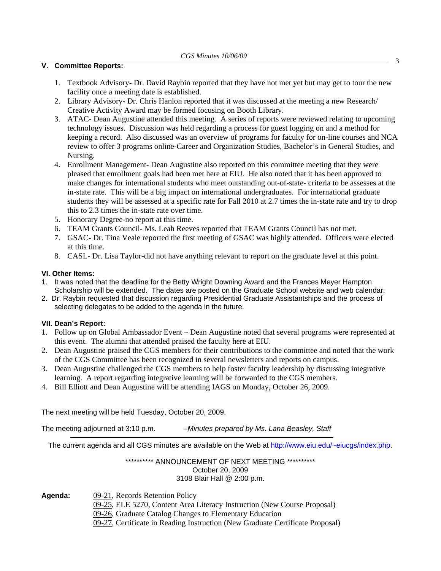# *CGS Minutes 10/06/09* <sup>3</sup> **V. Committee Reports:**

- 1. Textbook Advisory- Dr. David Raybin reported that they have not met yet but may get to tour the new facility once a meeting date is established.
- 2. Library Advisory- Dr. Chris Hanlon reported that it was discussed at the meeting a new Research/ Creative Activity Award may be formed focusing on Booth Library.
- 3. ATAC- Dean Augustine attended this meeting. A series of reports were reviewed relating to upcoming technology issues. Discussion was held regarding a process for guest logging on and a method for keeping a record. Also discussed was an overview of programs for faculty for on-line courses and NCA review to offer 3 programs online-Career and Organization Studies, Bachelor's in General Studies, and Nursing.
- 4. Enrollment Management- Dean Augustine also reported on this committee meeting that they were pleased that enrollment goals had been met here at EIU. He also noted that it has been approved to make changes for international students who meet outstanding out-of-state- criteria to be assesses at the in-state rate. This will be a big impact on international undergraduates. For international graduate students they will be assessed at a specific rate for Fall 2010 at 2.7 times the in-state rate and try to drop this to 2.3 times the in-state rate over time.
- 5. Honorary Degree-no report at this time.
- 6. TEAM Grants Council- Ms. Leah Reeves reported that TEAM Grants Council has not met.
- 7. GSAC- Dr. Tina Veale reported the first meeting of GSAC was highly attended. Officers were elected at this time.
- 8. CASL- Dr. Lisa Taylor-did not have anything relevant to report on the graduate level at this point.

#### **VI. Other Items:**

- 1. It was noted that the deadline for the Betty Wright Downing Award and the Frances Meyer Hampton Scholarship will be extended. The dates are posted on the Graduate School website and web calendar.
- 2. Dr. Raybin requested that discussion regarding Presidential Graduate Assistantships and the process of selecting delegates to be added to the agenda in the future.

### **VII. Dean's Report:**

- 1. Follow up on Global Ambassador Event Dean Augustine noted that several programs were represented at this event. The alumni that attended praised the faculty here at EIU.
- 2. Dean Augustine praised the CGS members for their contributions to the committee and noted that the work of the CGS Committee has been recognized in several newsletters and reports on campus.
- 3. Dean Augustine challenged the CGS members to help foster faculty leadership by discussing integrative learning. A report regarding integrative learning will be forwarded to the CGS members.
- 4. Bill Elliott and Dean Augustine will be attending IAGS on Monday, October 26, 2009.

The next meeting will be held Tuesday, October 20, 2009.

The meeting adjourned at 3:10 p.m. *–Minutes prepared by Ms. Lana Beasley, Staff* 

The current agenda and all CGS minutes are available on the Web at http://www.eiu.edu/~eiucgs/index.php.

#### \*\*\*\*\*\*\*\*\*\* ANNOUNCEMENT OF NEXT MEETING \*\*\*\*\*\*\*\*\*\* October 20, 2009 3108 Blair Hall @ 2:00 p.m.

**Agenda:** [09-21, R](http://www.eiu.edu/~eiucgs/currentagendaitems/agenda09-21.pdf)ecords Retention Policy

- [09-25, E](http://www.eiu.edu/~eiucgs/currentagendaitems/agenda09-25.pdf)LE 5270, Content Area Literacy Instruction (New Course Proposal)
- [09-26, Gr](http://www.eiu.edu/~eiucgs/currentagendaitems/agenda09-26.pdf)aduate Catalog Changes to Elementary Education
- [09-27, Ce](http://www.eiu.edu/~eiucgs/currentagendaitems/agenda09-27.pdf)rtificate in Reading Instruction (New Graduate Certificate Proposal)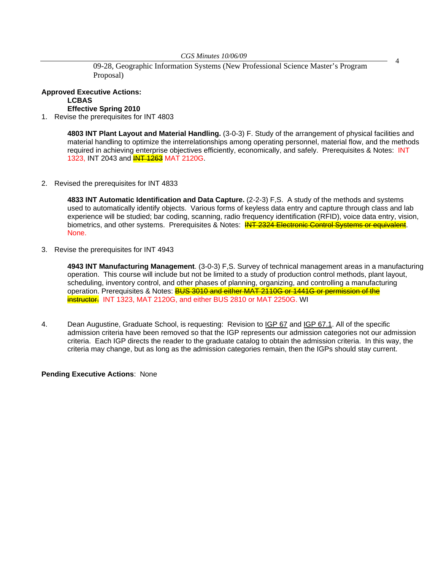*CGS Minutes 10/06/09* **29-28, Geographic Information Systems (New Professional Science Master's Program** 4 Proposal)

**Approved Executive Actions: LCBAS Effective Spring 2010** 

1. Revise the prerequisites for INT 4803

**4803 INT Plant Layout and Material Handling.** (3-0-3) F. Study of the arrangement of physical facilities and material handling to optimize the interrelationships among operating personnel, material flow, and the methods required in achieving enterprise objectives efficiently, economically, and safely. Prerequisites & Notes: INT 1323, INT 2043 and **INT 1263** MAT 2120G.

2. Revised the prerequisites for INT 4833

 **4833 INT Automatic Identification and Data Capture.** (2-2-3) F,S. A study of the methods and systems used to automatically identify objects. Various forms of keyless data entry and capture through class and lab experience will be studied; bar coding, scanning, radio frequency identification (RFID), voice data entry, vision, biometrics, and other systems. Prerequisites & Notes: INT 2324 Electronic Control Systems or equivalent. None.

3. Revise the prerequisites for INT 4943

**4943 INT Manufacturing Management**. (3-0-3) F,S. Survey of technical management areas in a manufacturing operation. This course will include but not be limited to a study of production control methods, plant layout, scheduling, inventory control, and other phases of planning, organizing, and controlling a manufacturing operation. Prerequisites & Notes: BUS 3010 and either MAT 2110G or 1441G or permission of the instructor. INT 1323, MAT 2120G, and either BUS 2810 or MAT 2250G. WI

4. Dean Augustine, Graduate School, is requesting: Revision to IGP 67 and IGP 67.1. All of the specific admission criteria have been removed so that the IGP represents our admission categories not our admission criteria. Each IGP directs the reader to the graduate catalog to obtain the admission criteria. In this way, the criteria may change, but as long as the admission categories remain, then the IGPs should stay current.

**Pending Executive Actions**: None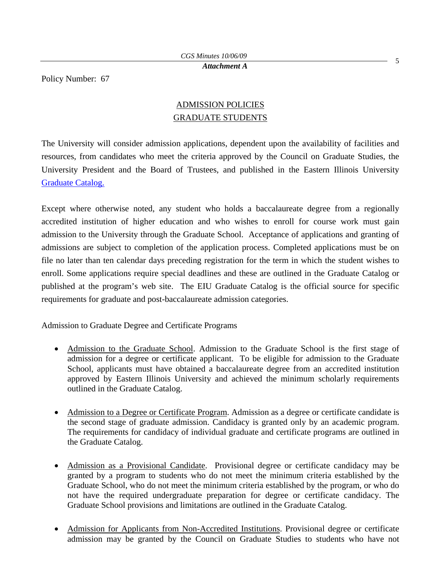Policy Number: 67

# ADMISSION POLICIES GRADUATE STUDENTS

The University will consider admission applications, dependent upon the availability of facilities and resources, from candidates who meet the criteria approved by the Council on Graduate Studies, the University President and the Board of Trustees, and published in the Eastern Illinois University Graduate Catalog.

Except where otherwise noted, any student who holds a baccalaureate degree from a regionally accredited institution of higher education and who wishes to enroll for course work must gain admission to the University through the Graduate School. Acceptance of applications and granting of admissions are subject to completion of the application process. Completed applications must be on file no later than ten calendar days preceding registration for the term in which the student wishes to enroll. Some applications require special deadlines and these are outlined in the Graduate Catalog or published at the program's web site. The EIU Graduate Catalog is the official source for specific requirements for graduate and post-baccalaureate admission categories.

Admission to Graduate Degree and Certificate Programs

- Admission to the Graduate School. Admission to the Graduate School is the first stage of admission for a degree or certificate applicant. To be eligible for admission to the Graduate School, applicants must have obtained a baccalaureate degree from an accredited institution approved by Eastern Illinois University and achieved the minimum scholarly requirements outlined in the Graduate Catalog.
- Admission to a Degree or Certificate Program. Admission as a degree or certificate candidate is the second stage of graduate admission. Candidacy is granted only by an academic program. The requirements for candidacy of individual graduate and certificate programs are outlined in the Graduate Catalog.
- Admission as a Provisional Candidate. Provisional degree or certificate candidacy may be granted by a program to students who do not meet the minimum criteria established by the Graduate School, who do not meet the minimum criteria established by the program, or who do not have the required undergraduate preparation for degree or certificate candidacy. The Graduate School provisions and limitations are outlined in the Graduate Catalog.
- Admission for Applicants from Non-Accredited Institutions. Provisional degree or certificate admission may be granted by the Council on Graduate Studies to students who have not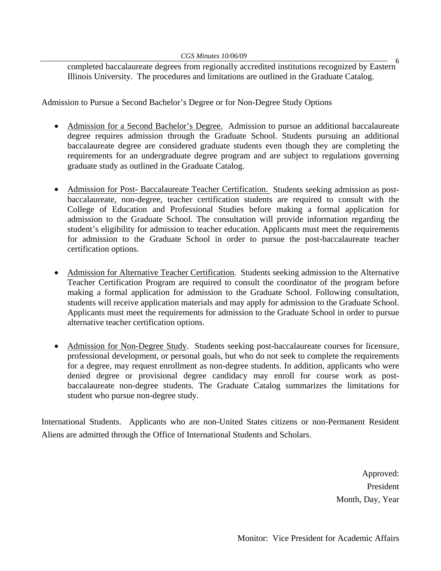*CGS Minutes 10/06/09* <sup>6</sup> completed baccalaureate degrees from regionally accredited institutions recognized by Eastern Illinois University. The procedures and limitations are outlined in the Graduate Catalog.

Admission to Pursue a Second Bachelor's Degree or for Non-Degree Study Options

- Admission for a Second Bachelor's Degree. Admission to pursue an additional baccalaureate degree requires admission through the Graduate School. Students pursuing an additional baccalaureate degree are considered graduate students even though they are completing the requirements for an undergraduate degree program and are subject to regulations governing graduate study as outlined in the Graduate Catalog.
- Admission for Post- Baccalaureate Teacher Certification. Students seeking admission as postbaccalaureate, non-degree, teacher certification students are required to consult with the College of Education and Professional Studies before making a formal application for admission to the Graduate School. The consultation will provide information regarding the student's eligibility for admission to teacher education. Applicants must meet the requirements for admission to the Graduate School in order to pursue the post-baccalaureate teacher certification options.
- Admission for Alternative Teacher Certification. Students seeking admission to the Alternative Teacher Certification Program are required to consult the coordinator of the program before making a formal application for admission to the Graduate School. Following consultation, students will receive application materials and may apply for admission to the Graduate School. Applicants must meet the requirements for admission to the Graduate School in order to pursue alternative teacher certification options.
- Admission for Non-Degree Study. Students seeking post-baccalaureate courses for licensure, professional development, or personal goals, but who do not seek to complete the requirements for a degree, may request enrollment as non-degree students. In addition, applicants who were denied degree or provisional degree candidacy may enroll for course work as postbaccalaureate non-degree students. The Graduate Catalog summarizes the limitations for student who pursue non-degree study.

International Students. Applicants who are non-United States citizens or non-Permanent Resident Aliens are admitted through the Office of International Students and Scholars.

> Approved: President Month, Day, Year

Monitor: Vice President for Academic Affairs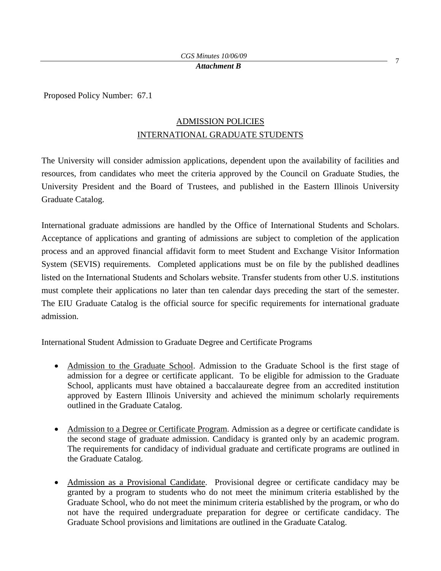Proposed Policy Number: 67.1

# ADMISSION POLICIES INTERNATIONAL GRADUATE STUDENTS

The University will consider admission applications, dependent upon the availability of facilities and resources, from candidates who meet the criteria approved by the Council on Graduate Studies, the University President and the Board of Trustees, and published in the Eastern Illinois University Graduate Catalog.

International graduate admissions are handled by the Office of International Students and Scholars. Acceptance of applications and granting of admissions are subject to completion of the application process and an approved financial affidavit form to meet Student and Exchange Visitor Information System (SEVIS) requirements. Completed applications must be on file by the published deadlines listed on the International Students and Scholars website. Transfer students from other U.S. institutions must complete their applications no later than ten calendar days preceding the start of the semester. The EIU Graduate Catalog is the official source for specific requirements for international graduate admission.

International Student Admission to Graduate Degree and Certificate Programs

- Admission to the Graduate School. Admission to the Graduate School is the first stage of admission for a degree or certificate applicant. To be eligible for admission to the Graduate School, applicants must have obtained a baccalaureate degree from an accredited institution approved by Eastern Illinois University and achieved the minimum scholarly requirements outlined in the Graduate Catalog.
- Admission to a Degree or Certificate Program. Admission as a degree or certificate candidate is the second stage of graduate admission. Candidacy is granted only by an academic program. The requirements for candidacy of individual graduate and certificate programs are outlined in the Graduate Catalog.
- Admission as a Provisional Candidate. Provisional degree or certificate candidacy may be granted by a program to students who do not meet the minimum criteria established by the Graduate School, who do not meet the minimum criteria established by the program, or who do not have the required undergraduate preparation for degree or certificate candidacy. The Graduate School provisions and limitations are outlined in the Graduate Catalog.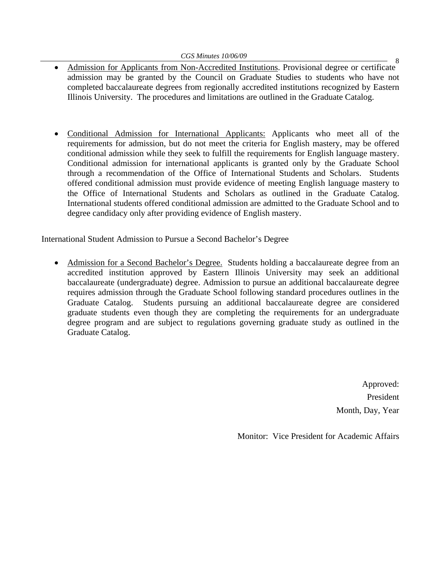- *CGS Minutes 10/06/09*<br>• Admission for Applicants from Non-Accredited Institutions. Provisional degree or certificate admission may be granted by the Council on Graduate Studies to students who have not completed baccalaureate degrees from regionally accredited institutions recognized by Eastern Illinois University. The procedures and limitations are outlined in the Graduate Catalog.
- Conditional Admission for International Applicants: Applicants who meet all of the requirements for admission, but do not meet the criteria for English mastery, may be offered conditional admission while they seek to fulfill the requirements for English language mastery. Conditional admission for international applicants is granted only by the Graduate School through a recommendation of the Office of International Students and Scholars. Students offered conditional admission must provide evidence of meeting English language mastery to the Office of International Students and Scholars as outlined in the Graduate Catalog. International students offered conditional admission are admitted to the Graduate School and to degree candidacy only after providing evidence of English mastery.

International Student Admission to Pursue a Second Bachelor's Degree

• Admission for a Second Bachelor's Degree. Students holding a baccalaureate degree from an accredited institution approved by Eastern Illinois University may seek an additional baccalaureate (undergraduate) degree. Admission to pursue an additional baccalaureate degree requires admission through the Graduate School following standard procedures outlines in the Graduate Catalog. Students pursuing an additional baccalaureate degree are considered graduate students even though they are completing the requirements for an undergraduate degree program and are subject to regulations governing graduate study as outlined in the Graduate Catalog.

> Approved: President Month, Day, Year

Monitor: Vice President for Academic Affairs